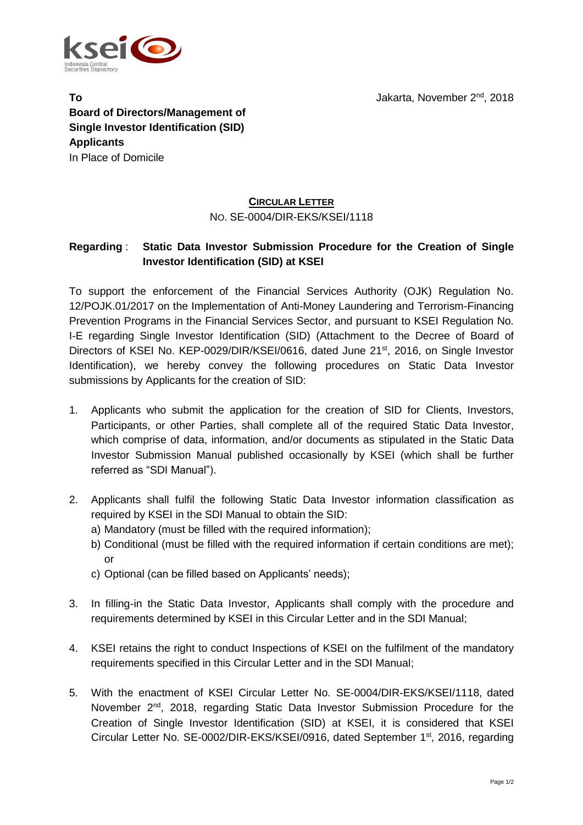

**To** Jakarta, November 2<sup>nd</sup>, 2018 **Board of Directors/Management of Single Investor Identification (SID) Applicants** In Place of Domicile

## **CIRCULAR LETTER** NO. SE-0004/DIR-EKS/KSEI/1118

## **Regarding** : **Static Data Investor Submission Procedure for the Creation of Single Investor Identification (SID) at KSEI**

To support the enforcement of the Financial Services Authority (OJK) Regulation No. 12/POJK.01/2017 on the Implementation of Anti-Money Laundering and Terrorism-Financing Prevention Programs in the Financial Services Sector, and pursuant to KSEI Regulation No. I-E regarding Single Investor Identification (SID) (Attachment to the Decree of Board of Directors of KSEI No. KEP-0029/DIR/KSEI/0616, dated June 21<sup>st</sup>, 2016, on Single Investor Identification), we hereby convey the following procedures on Static Data Investor submissions by Applicants for the creation of SID:

- 1. Applicants who submit the application for the creation of SID for Clients, Investors, Participants, or other Parties, shall complete all of the required Static Data Investor, which comprise of data, information, and/or documents as stipulated in the Static Data Investor Submission Manual published occasionally by KSEI (which shall be further referred as "SDI Manual").
- 2. Applicants shall fulfil the following Static Data Investor information classification as required by KSEI in the SDI Manual to obtain the SID:
	- a) Mandatory (must be filled with the required information);
	- b) Conditional (must be filled with the required information if certain conditions are met); or
	- c) Optional (can be filled based on Applicants' needs);
- 3. In filling-in the Static Data Investor, Applicants shall comply with the procedure and requirements determined by KSEI in this Circular Letter and in the SDI Manual;
- 4. KSEI retains the right to conduct Inspections of KSEI on the fulfilment of the mandatory requirements specified in this Circular Letter and in the SDI Manual;
- 5. With the enactment of KSEI Circular Letter No. SE-0004/DIR-EKS/KSEI/1118, dated November 2<sup>nd</sup>, 2018, regarding Static Data Investor Submission Procedure for the Creation of Single Investor Identification (SID) at KSEI, it is considered that KSEI Circular Letter No. SE-0002/DIR-EKS/KSEI/0916, dated September 1<sup>st</sup>, 2016, regarding